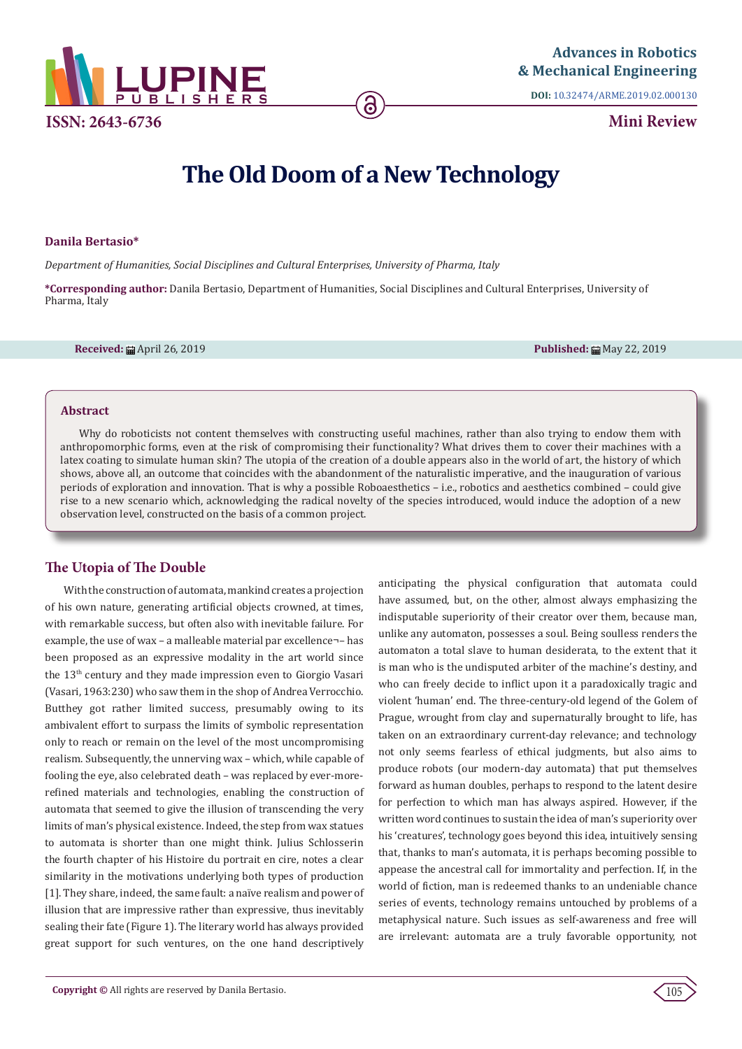

**DOI:** [10.32474/ARME.2019.02.000130](http://dx.doi.org/10.32474/ARME.2019.02.000130)

**Mini Review**

# **The Old Doom of a New Technology**

#### **Danila Bertasio\***

*Department of Humanities, Social Disciplines and Cultural Enterprises, University of Pharma, Italy*

**\*Corresponding author:** Danila Bertasio, Department of Humanities, Social Disciplines and Cultural Enterprises, University of Pharma, Italy

**Received:** April 26, 2019 **Published:** May 22, 2019

#### **Abstract**

Why do roboticists not content themselves with constructing useful machines, rather than also trying to endow them with anthropomorphic forms, even at the risk of compromising their functionality? What drives them to cover their machines with a latex coating to simulate human skin? The utopia of the creation of a double appears also in the world of art, the history of which shows, above all, an outcome that coincides with the abandonment of the naturalistic imperative, and the inauguration of various periods of exploration and innovation. That is why a possible Roboaesthetics – i.e., robotics and aesthetics combined – could give rise to a new scenario which, acknowledging the radical novelty of the species introduced, would induce the adoption of a new observation level, constructed on the basis of a common project.

## **The Utopia of The Double**

With the construction of automata, mankind creates a projection of his own nature, generating artificial objects crowned, at times, with remarkable success, but often also with inevitable failure. For example, the use of wax - a malleable material par excellence-- has been proposed as an expressive modality in the art world since the 13th century and they made impression even to Giorgio Vasari (Vasari, 1963:230) who saw them in the shop of Andrea Verrocchio. Butthey got rather limited success, presumably owing to its ambivalent effort to surpass the limits of symbolic representation only to reach or remain on the level of the most uncompromising realism. Subsequently, the unnerving wax – which, while capable of fooling the eye, also celebrated death – was replaced by ever-morerefined materials and technologies, enabling the construction of automata that seemed to give the illusion of transcending the very limits of man's physical existence. Indeed, the step from wax statues to automata is shorter than one might think. Julius Schlosserin the fourth chapter of his Histoire du portrait en cire, notes a clear similarity in the motivations underlying both types of production [1]. They share, indeed, the same fault: a naïve realism and power of illusion that are impressive rather than expressive, thus inevitably sealing their fate (Figure 1). The literary world has always provided great support for such ventures, on the one hand descriptively

anticipating the physical configuration that automata could have assumed, but, on the other, almost always emphasizing the indisputable superiority of their creator over them, because man, unlike any automaton, possesses a soul. Being soulless renders the automaton a total slave to human desiderata, to the extent that it is man who is the undisputed arbiter of the machine's destiny, and who can freely decide to inflict upon it a paradoxically tragic and violent 'human' end. The three-century-old legend of the Golem of Prague, wrought from clay and supernaturally brought to life, has taken on an extraordinary current-day relevance; and technology not only seems fearless of ethical judgments, but also aims to produce robots (our modern-day automata) that put themselves forward as human doubles, perhaps to respond to the latent desire for perfection to which man has always aspired. However, if the written word continues to sustain the idea of man's superiority over his 'creatures', technology goes beyond this idea, intuitively sensing that, thanks to man's automata, it is perhaps becoming possible to appease the ancestral call for immortality and perfection. If, in the world of fiction, man is redeemed thanks to an undeniable chance series of events, technology remains untouched by problems of a metaphysical nature. Such issues as self-awareness and free will are irrelevant: automata are a truly favorable opportunity, not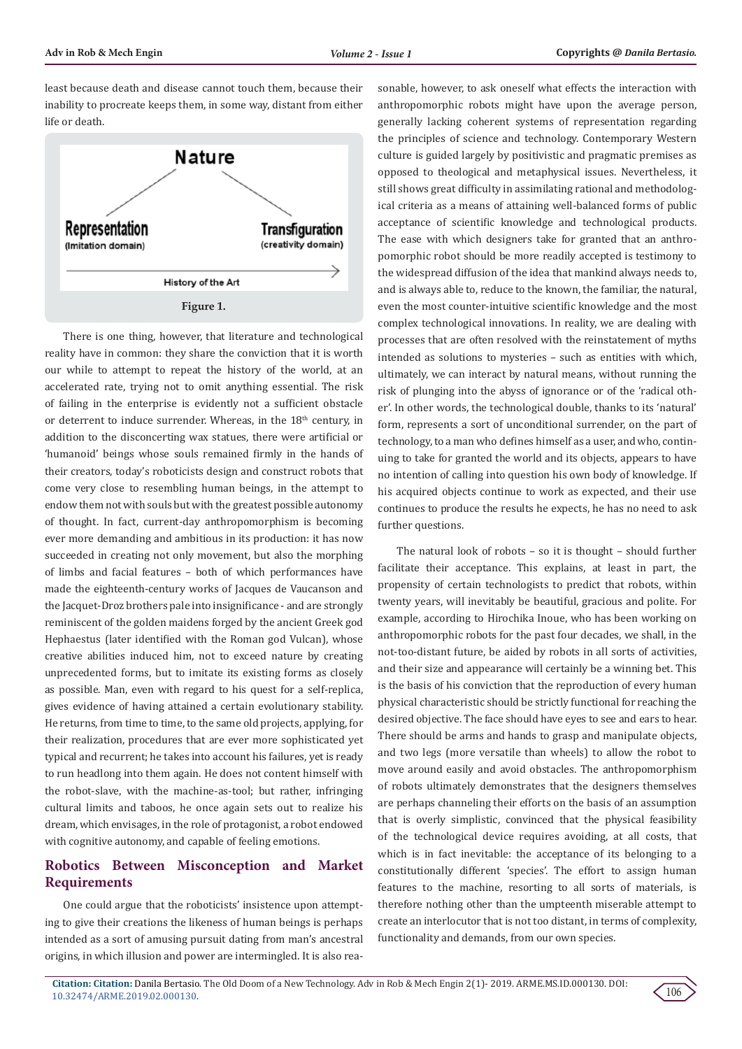least because death and disease cannot touch them, because their inability to procreate keeps them, in some way, distant from either life or death.



There is one thing, however, that literature and technological reality have in common: they share the conviction that it is worth our while to attempt to repeat the history of the world, at an accelerated rate, trying not to omit anything essential. The risk of failing in the enterprise is evidently not a sufficient obstacle or deterrent to induce surrender. Whereas, in the  $18<sup>th</sup>$  century, in addition to the disconcerting wax statues, there were artificial or 'humanoid' beings whose souls remained firmly in the hands of their creators, today's roboticists design and construct robots that come very close to resembling human beings, in the attempt to endow them not with souls but with the greatest possible autonomy of thought. In fact, current-day anthropomorphism is becoming ever more demanding and ambitious in its production: it has now succeeded in creating not only movement, but also the morphing of limbs and facial features – both of which performances have made the eighteenth-century works of Jacques de Vaucanson and the Jacquet-Droz brothers pale into insignificance - and are strongly reminiscent of the golden maidens forged by the ancient Greek god Hephaestus (later identified with the Roman god Vulcan), whose creative abilities induced him, not to exceed nature by creating unprecedented forms, but to imitate its existing forms as closely as possible. Man, even with regard to his quest for a self-replica, gives evidence of having attained a certain evolutionary stability. He returns, from time to time, to the same old projects, applying, for their realization, procedures that are ever more sophisticated yet typical and recurrent; he takes into account his failures, yet is ready to run headlong into them again. He does not content himself with the robot-slave, with the machine-as-tool; but rather, infringing cultural limits and taboos, he once again sets out to realize his dream, which envisages, in the role of protagonist, a robot endowed with cognitive autonomy, and capable of feeling emotions.

## **Robotics Between Misconception and Market Requirements**

One could argue that the roboticists' insistence upon attempting to give their creations the likeness of human beings is perhaps intended as a sort of amusing pursuit dating from man's ancestral origins, in which illusion and power are intermingled. It is also reasonable, however, to ask oneself what effects the interaction with anthropomorphic robots might have upon the average person, generally lacking coherent systems of representation regarding the principles of science and technology. Contemporary Western culture is guided largely by positivistic and pragmatic premises as opposed to theological and metaphysical issues. Nevertheless, it still shows great difficulty in assimilating rational and methodological criteria as a means of attaining well-balanced forms of public acceptance of scientific knowledge and technological products. The ease with which designers take for granted that an anthropomorphic robot should be more readily accepted is testimony to the widespread diffusion of the idea that mankind always needs to, and is always able to, reduce to the known, the familiar, the natural, even the most counter-intuitive scientific knowledge and the most complex technological innovations. In reality, we are dealing with processes that are often resolved with the reinstatement of myths intended as solutions to mysteries – such as entities with which, ultimately, we can interact by natural means, without running the risk of plunging into the abyss of ignorance or of the 'radical other'. In other words, the technological double, thanks to its 'natural' form, represents a sort of unconditional surrender, on the part of technology, to a man who defines himself as a user, and who, continuing to take for granted the world and its objects, appears to have no intention of calling into question his own body of knowledge. If his acquired objects continue to work as expected, and their use continues to produce the results he expects, he has no need to ask further questions.

The natural look of robots – so it is thought – should further facilitate their acceptance. This explains, at least in part, the propensity of certain technologists to predict that robots, within twenty years, will inevitably be beautiful, gracious and polite. For example, according to Hirochika Inoue, who has been working on anthropomorphic robots for the past four decades, we shall, in the not-too-distant future, be aided by robots in all sorts of activities, and their size and appearance will certainly be a winning bet. This is the basis of his conviction that the reproduction of every human physical characteristic should be strictly functional for reaching the desired objective. The face should have eyes to see and ears to hear. There should be arms and hands to grasp and manipulate objects, and two legs (more versatile than wheels) to allow the robot to move around easily and avoid obstacles. The anthropomorphism of robots ultimately demonstrates that the designers themselves are perhaps channeling their efforts on the basis of an assumption that is overly simplistic, convinced that the physical feasibility of the technological device requires avoiding, at all costs, that which is in fact inevitable: the acceptance of its belonging to a constitutionally different 'species'. The effort to assign human features to the machine, resorting to all sorts of materials, is therefore nothing other than the umpteenth miserable attempt to create an interlocutor that is not too distant, in terms of complexity, functionality and demands, from our own species.

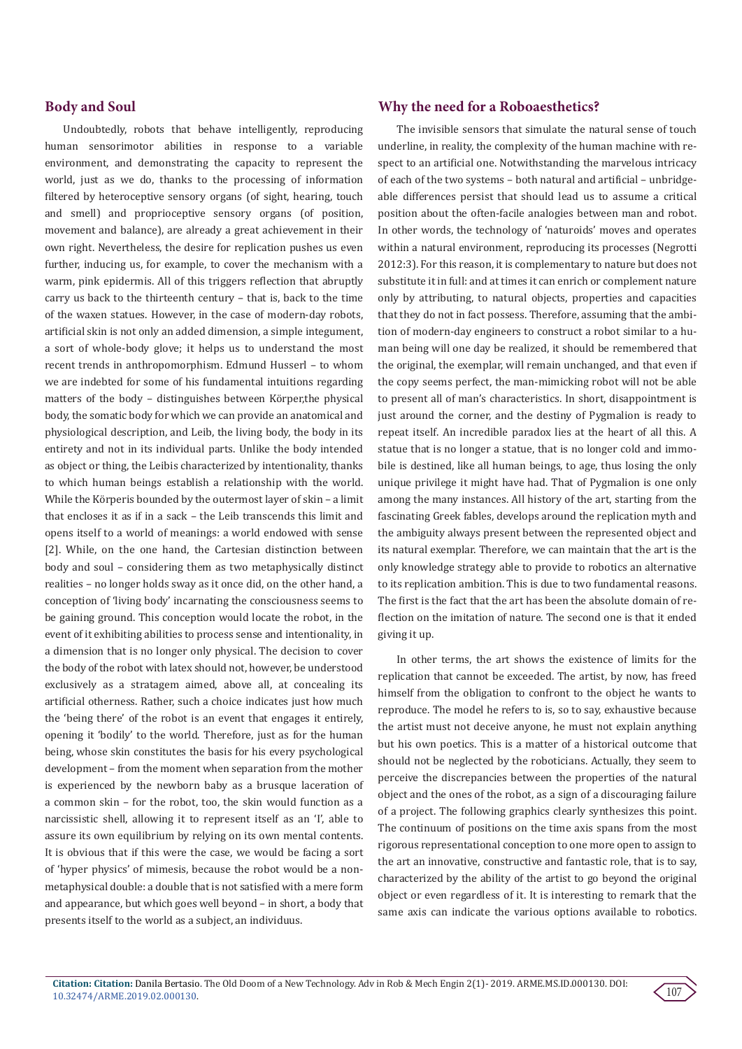## **Body and Soul**

Undoubtedly, robots that behave intelligently, reproducing human sensorimotor abilities in response to a variable environment, and demonstrating the capacity to represent the world, just as we do, thanks to the processing of information filtered by heteroceptive sensory organs (of sight, hearing, touch and smell) and proprioceptive sensory organs (of position, movement and balance), are already a great achievement in their own right. Nevertheless, the desire for replication pushes us even further, inducing us, for example, to cover the mechanism with a warm, pink epidermis. All of this triggers reflection that abruptly carry us back to the thirteenth century – that is, back to the time of the waxen statues. However, in the case of modern-day robots, artificial skin is not only an added dimension, a simple integument, a sort of whole-body glove; it helps us to understand the most recent trends in anthropomorphism. Edmund Husserl – to whom we are indebted for some of his fundamental intuitions regarding matters of the body – distinguishes between Körper,the physical body, the somatic body for which we can provide an anatomical and physiological description, and Leib, the living body, the body in its entirety and not in its individual parts. Unlike the body intended as object or thing, the Leibis characterized by intentionality, thanks to which human beings establish a relationship with the world. While the Körperis bounded by the outermost layer of skin – a limit that encloses it as if in a sack – the Leib transcends this limit and opens itself to a world of meanings: a world endowed with sense [2]. While, on the one hand, the Cartesian distinction between body and soul – considering them as two metaphysically distinct realities – no longer holds sway as it once did, on the other hand, a conception of 'living body' incarnating the consciousness seems to be gaining ground. This conception would locate the robot, in the event of it exhibiting abilities to process sense and intentionality, in a dimension that is no longer only physical. The decision to cover the body of the robot with latex should not, however, be understood exclusively as a stratagem aimed, above all, at concealing its artificial otherness. Rather, such a choice indicates just how much the 'being there' of the robot is an event that engages it entirely, opening it 'bodily' to the world. Therefore, just as for the human being, whose skin constitutes the basis for his every psychological development – from the moment when separation from the mother is experienced by the newborn baby as a brusque laceration of a common skin – for the robot, too, the skin would function as a narcissistic shell, allowing it to represent itself as an 'I', able to assure its own equilibrium by relying on its own mental contents. It is obvious that if this were the case, we would be facing a sort of 'hyper physics' of mimesis, because the robot would be a nonmetaphysical double: a double that is not satisfied with a mere form and appearance, but which goes well beyond – in short, a body that presents itself to the world as a subject, an individuus.

## **Why the need for a Roboaesthetics?**

The invisible sensors that simulate the natural sense of touch underline, in reality, the complexity of the human machine with respect to an artificial one. Notwithstanding the marvelous intricacy of each of the two systems – both natural and artificial – unbridgeable differences persist that should lead us to assume a critical position about the often-facile analogies between man and robot. In other words, the technology of 'naturoids' moves and operates within a natural environment, reproducing its processes (Negrotti 2012:3). For this reason, it is complementary to nature but does not substitute it in full: and at times it can enrich or complement nature only by attributing, to natural objects, properties and capacities that they do not in fact possess. Therefore, assuming that the ambition of modern-day engineers to construct a robot similar to a human being will one day be realized, it should be remembered that the original, the exemplar, will remain unchanged, and that even if the copy seems perfect, the man-mimicking robot will not be able to present all of man's characteristics. In short, disappointment is just around the corner, and the destiny of Pygmalion is ready to repeat itself. An incredible paradox lies at the heart of all this. A statue that is no longer a statue, that is no longer cold and immobile is destined, like all human beings, to age, thus losing the only unique privilege it might have had. That of Pygmalion is one only among the many instances. All history of the art, starting from the fascinating Greek fables, develops around the replication myth and the ambiguity always present between the represented object and its natural exemplar. Therefore, we can maintain that the art is the only knowledge strategy able to provide to robotics an alternative to its replication ambition. This is due to two fundamental reasons. The first is the fact that the art has been the absolute domain of reflection on the imitation of nature. The second one is that it ended giving it up.

In other terms, the art shows the existence of limits for the replication that cannot be exceeded. The artist, by now, has freed himself from the obligation to confront to the object he wants to reproduce. The model he refers to is, so to say, exhaustive because the artist must not deceive anyone, he must not explain anything but his own poetics. This is a matter of a historical outcome that should not be neglected by the roboticians. Actually, they seem to perceive the discrepancies between the properties of the natural object and the ones of the robot, as a sign of a discouraging failure of a project. The following graphics clearly synthesizes this point. The continuum of positions on the time axis spans from the most rigorous representational conception to one more open to assign to the art an innovative, constructive and fantastic role, that is to say, characterized by the ability of the artist to go beyond the original object or even regardless of it. It is interesting to remark that the same axis can indicate the various options available to robotics.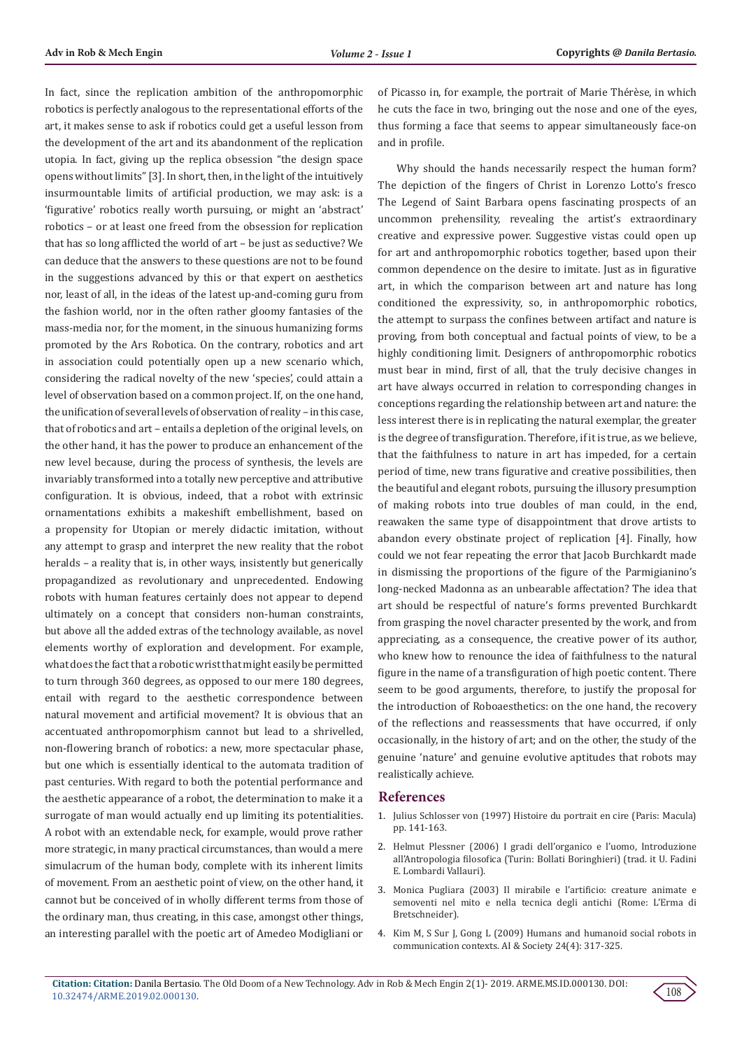In fact, since the replication ambition of the anthropomorphic robotics is perfectly analogous to the representational efforts of the art, it makes sense to ask if robotics could get a useful lesson from the development of the art and its abandonment of the replication utopia. In fact, giving up the replica obsession "the design space opens without limits" [3]. In short, then, in the light of the intuitively insurmountable limits of artificial production, we may ask: is a 'figurative' robotics really worth pursuing, or might an 'abstract' robotics – or at least one freed from the obsession for replication that has so long afflicted the world of art – be just as seductive? We can deduce that the answers to these questions are not to be found in the suggestions advanced by this or that expert on aesthetics nor, least of all, in the ideas of the latest up-and-coming guru from the fashion world, nor in the often rather gloomy fantasies of the mass-media nor, for the moment, in the sinuous humanizing forms promoted by the Ars Robotica. On the contrary, robotics and art in association could potentially open up a new scenario which, considering the radical novelty of the new 'species', could attain a level of observation based on a common project. If, on the one hand, the unification of several levels of observation of reality – in this case, that of robotics and art – entails a depletion of the original levels, on the other hand, it has the power to produce an enhancement of the new level because, during the process of synthesis, the levels are invariably transformed into a totally new perceptive and attributive configuration. It is obvious, indeed, that a robot with extrinsic ornamentations exhibits a makeshift embellishment, based on a propensity for Utopian or merely didactic imitation, without any attempt to grasp and interpret the new reality that the robot heralds – a reality that is, in other ways, insistently but generically propagandized as revolutionary and unprecedented. Endowing robots with human features certainly does not appear to depend ultimately on a concept that considers non-human constraints, but above all the added extras of the technology available, as novel elements worthy of exploration and development. For example, what does the fact that a robotic wrist that might easily be permitted to turn through 360 degrees, as opposed to our mere 180 degrees, entail with regard to the aesthetic correspondence between natural movement and artificial movement? It is obvious that an accentuated anthropomorphism cannot but lead to a shrivelled, non-flowering branch of robotics: a new, more spectacular phase, but one which is essentially identical to the automata tradition of past centuries. With regard to both the potential performance and the aesthetic appearance of a robot, the determination to make it a surrogate of man would actually end up limiting its potentialities. A robot with an extendable neck, for example, would prove rather more strategic, in many practical circumstances, than would a mere simulacrum of the human body, complete with its inherent limits of movement. From an aesthetic point of view, on the other hand, it cannot but be conceived of in wholly different terms from those of the ordinary man, thus creating, in this case, amongst other things, an interesting parallel with the poetic art of Amedeo Modigliani or of Picasso in, for example, the portrait of Marie Thérèse, in which he cuts the face in two, bringing out the nose and one of the eyes, thus forming a face that seems to appear simultaneously face-on and in profile.

Why should the hands necessarily respect the human form? The depiction of the fingers of Christ in Lorenzo Lotto's fresco The Legend of Saint Barbara opens fascinating prospects of an uncommon prehensility, revealing the artist's extraordinary creative and expressive power. Suggestive vistas could open up for art and anthropomorphic robotics together, based upon their common dependence on the desire to imitate. Just as in figurative art, in which the comparison between art and nature has long conditioned the expressivity, so, in anthropomorphic robotics, the attempt to surpass the confines between artifact and nature is proving, from both conceptual and factual points of view, to be a highly conditioning limit. Designers of anthropomorphic robotics must bear in mind, first of all, that the truly decisive changes in art have always occurred in relation to corresponding changes in conceptions regarding the relationship between art and nature: the less interest there is in replicating the natural exemplar, the greater is the degree of transfiguration. Therefore, if it is true, as we believe, that the faithfulness to nature in art has impeded, for a certain period of time, new trans figurative and creative possibilities, then the beautiful and elegant robots, pursuing the illusory presumption of making robots into true doubles of man could, in the end, reawaken the same type of disappointment that drove artists to abandon every obstinate project of replication [4]. Finally, how could we not fear repeating the error that Jacob Burchkardt made in dismissing the proportions of the figure of the Parmigianino's long-necked Madonna as an unbearable affectation? The idea that art should be respectful of nature's forms prevented Burchkardt from grasping the novel character presented by the work, and from appreciating, as a consequence, the creative power of its author, who knew how to renounce the idea of faithfulness to the natural figure in the name of a transfiguration of high poetic content. There seem to be good arguments, therefore, to justify the proposal for the introduction of Roboaesthetics: on the one hand, the recovery of the reflections and reassessments that have occurred, if only occasionally, in the history of art; and on the other, the study of the genuine 'nature' and genuine evolutive aptitudes that robots may realistically achieve.

#### **References**

- 1. [Julius Schlosser von \(1997\) Histoire du portrait en cire \(Paris: Macula\)](https://journals.openedition.org/etudesphotographiques/85) [pp. 141-163.](https://journals.openedition.org/etudesphotographiques/85)
- 2. Helmut Plessner (2006) I gradi dell'organico e l'uomo, Introduzione all'Antropologia filosofica (Turin: Bollati Boringhieri) (trad. it U. Fadini E. Lombardi Vallauri).
- 3. Monica Pugliara (2003) Il mirabile e l'artificio: creature animate e semoventi nel mito e nella tecnica degli antichi (Rome: L'Erma di Bretschneider).
- 4. [Kim M, S Sur J, Gong L \(2009\) Humans and humanoid social robots in](https://link.springer.com/article/10.1007/s00146-009-0224-3) [communication contexts. AI & Society 24\(4\): 317-325.](https://link.springer.com/article/10.1007/s00146-009-0224-3)